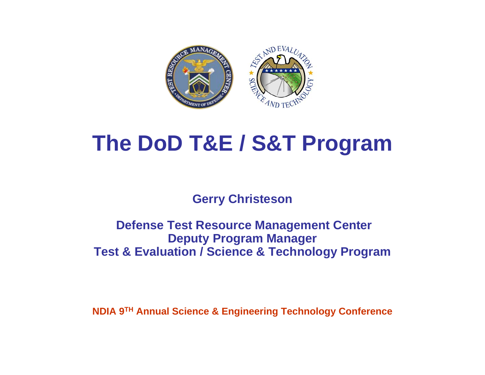

# **The DoD T&E / S&T Program**

**Gerry Christeson**

### **Defense Test Resource Management Center Deputy Program Manager Test & Evaluation / Science & Technology Program**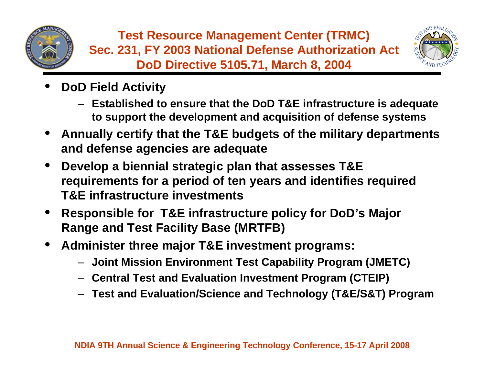



- • **DoD Field Activity**
	- **Established to ensure that the DoD T&E infrastructure is adequate to support the development and acquisition of defense systems**
- • **Annually certify that the T&E budgets of the military departments and defense agencies are adequate**
- • **Develop a biennial strategic plan that assesses T&E requirements for a period of ten years and identifies required T&E infrastructure investments**
- • **Responsible for T&E infrastructure policy for DoD's Major Range and Test Facility Base (MRTFB)**
- • **Administer three major T&E investment programs:**
	- **Joint Mission Environment Test Capability Program (JMETC)**
	- **Central Test and Evaluation Investment Program (CTEIP)**
	- **Test and Evaluation/Science and Technology (T&E/S&T) Program**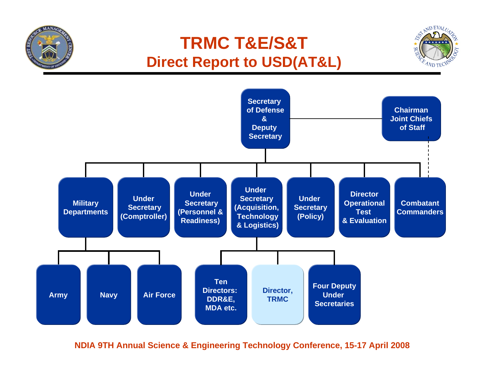### **TRMC T&E/S&T Direct Report to USD(AT&L)**

**MANA** 



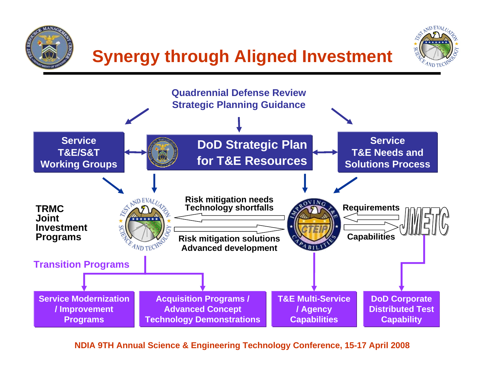

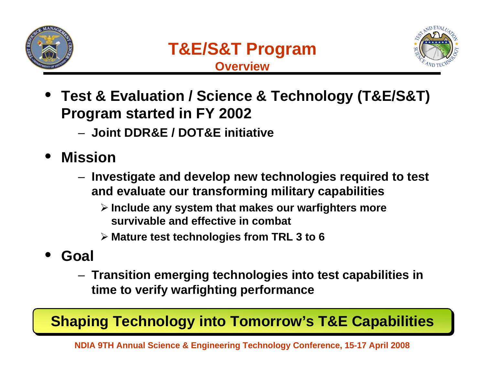



- • **Test & Evaluation / Science & Technology (T&E/S&T) Program started in FY 2002**
	- **Joint DDR&E / DOT&E initiative**
- • **Mission**
	- **Investigate and develop new technologies required to test and evaluate our transforming military capabilities**
		- ¾ **Include any system that makes our warfighters more survivable and effective in combat**
		- ¾ **Mature test technologies from TRL 3 to 6**
- • **Goal**
	- **Transition emerging technologies into test capabilities in time to verify warfighting performance**

### **Shaping Technology into Tomorrow's T&E Capabilities**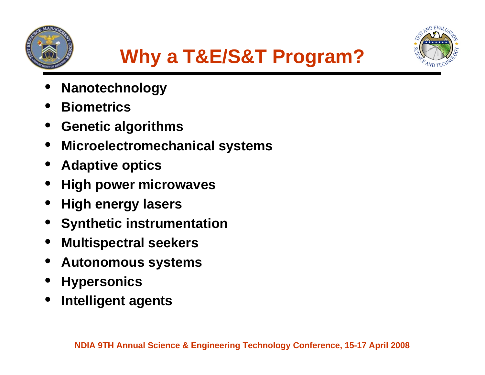





- •**Nanotechnology**
- •**Biometrics**
- •**Genetic algorithms**
- •**Microelectromechanical systems**
- •**Adaptive optics**
- •**High power microwaves**
- •**High energy lasers**
- •**Synthetic instrumentation**
- •**Multispectral seekers**
- •**Autonomous systems**
- •**Hypersonics**
- •**Intelligent agents**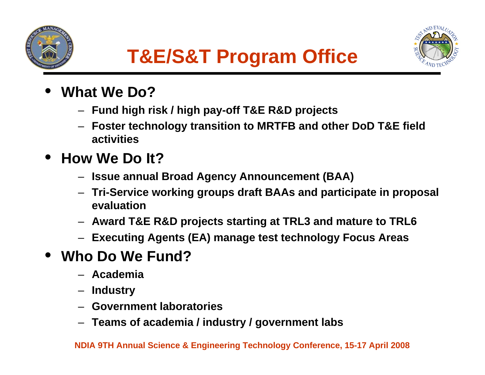



- • **What We Do?**
	- **Fund high risk / high pay-off T&E R&D projects**
	- **Foster technology transition to MRTFB and other DoD T&E field activities**

#### •**How We Do It?**

- **Issue annual Broad Agency Announcement (BAA)**
- **Tri-Service working groups draft BAAs and participate in proposal evaluation**
- **Award T&E R&D projects starting at TRL3 and mature to TRL6**
- **Executing Agents (EA) manage test technology Focus Areas**

#### •**Who Do We Fund?**

- **Academia**
- –**Industry**
- **Government laboratories**
- **Teams of academia / industry / government labs**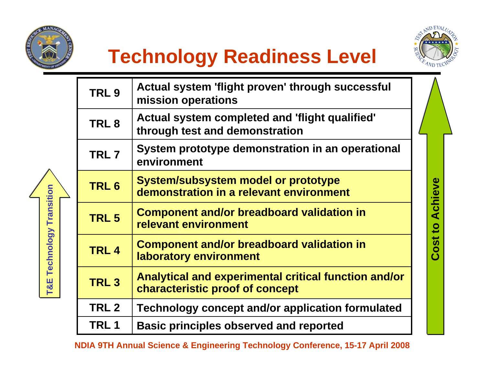

**T&E Technology Transition**

T&E Technology Transition





**Cost to Achieve**

**Cost to Achieve** 

| TRL <sub>9</sub> | Actual system 'flight proven' through successful<br>mission operations                  |
|------------------|-----------------------------------------------------------------------------------------|
| TRL <sub>8</sub> | Actual system completed and 'flight qualified'<br>through test and demonstration        |
| TRL <sub>7</sub> | System prototype demonstration in an operational<br>environment                         |
| TRL <sub>6</sub> | <b>System/subsystem model or prototype</b><br>demonstration in a relevant environment   |
| TRL <sub>5</sub> | <b>Component and/or breadboard validation in</b><br>relevant environment                |
| TRL <sub>4</sub> | <b>Component and/or breadboard validation in</b><br>laboratory environment              |
| TRL <sub>3</sub> | Analytical and experimental critical function and/or<br>characteristic proof of concept |
| TRL <sub>2</sub> | Technology concept and/or application formulated                                        |
| <b>TRL1</b>      | <b>Basic principles observed and reported</b>                                           |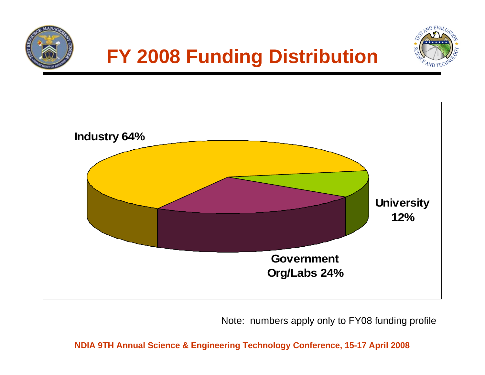

## **FY 2008 Funding Distribution**





Note: numbers apply only to FY08 funding profile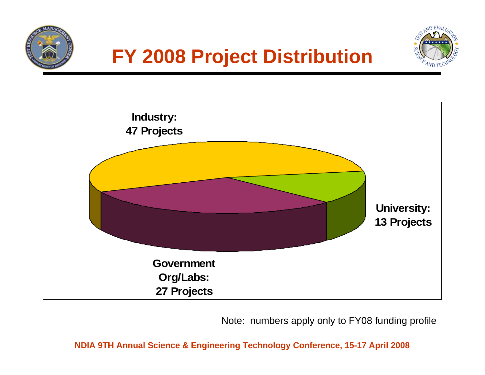





Note: numbers apply only to FY08 funding profile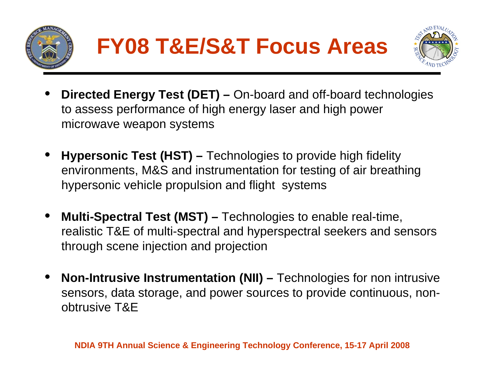



- • **Directed Energy Test (DET) –** On-board and off-board technologies to assess performance of high energy laser and high power microwave weapon systems
- • **Hypersonic Test (HST) –** Technologies to provide high fidelity environments, M&S and instrumentation for testing of air breathing hypersonic vehicle propulsion and flight systems
- • **Multi-Spectral Test (MST) –** Technologies to enable real-time, realistic T&E of multi-spectral and hyperspectral seekers and sensors through scene injection and projection
- • **Non-Intrusive Instrumentation (NII) –** Technologies for non intrusive sensors, data storage, and power sources to provide continuous, nonobtrusive T&E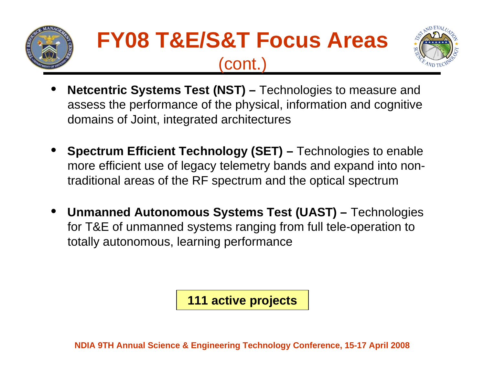

# **FY08 T&E/S&T Focus Areas** (cont.)



- • **Netcentric Systems Test (NST) –** Technologies to measure and assess the performance of the physical, information and cognitive domains of Joint, integrated architectures
- • **Spectrum Efficient Technology (SET) –** Technologies to enable more efficient use of legacy telemetry bands and expand into nontraditional areas of the RF spectrum and the optical spectrum
- • **Unmanned Autonomous Systems Test (UAST) –** Technologies for T&E of unmanned systems ranging from full tele-operation to totally autonomous, learning performance

**111 active projects**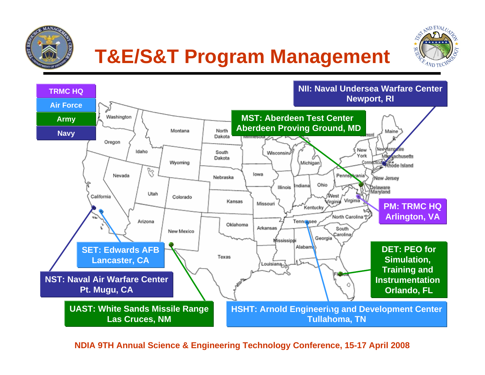

# **T&E/S&T Program Management**



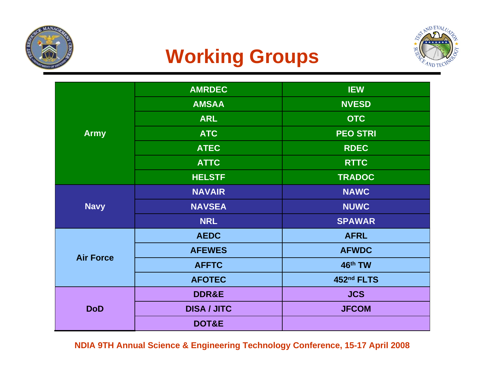

## **Working Groups**



|                  | <b>AMRDEC</b>      | <b>IEW</b>      |  |  |  |  |
|------------------|--------------------|-----------------|--|--|--|--|
|                  | <b>AMSAA</b>       | <b>NVESD</b>    |  |  |  |  |
|                  | <b>ARL</b>         | <b>OTC</b>      |  |  |  |  |
| <b>Army</b>      | <b>ATC</b>         | <b>PEO STRI</b> |  |  |  |  |
|                  | <b>ATEC</b>        | <b>RDEC</b>     |  |  |  |  |
|                  | <b>ATTC</b>        | <b>RTTC</b>     |  |  |  |  |
|                  | <b>HELSTF</b>      | <b>TRADOC</b>   |  |  |  |  |
|                  | <b>NAVAIR</b>      | <b>NAWC</b>     |  |  |  |  |
| <b>Navy</b>      | <b>NAVSEA</b>      | <b>NUWC</b>     |  |  |  |  |
|                  | <b>NRL</b>         | <b>SPAWAR</b>   |  |  |  |  |
|                  | <b>AEDC</b>        | <b>AFRL</b>     |  |  |  |  |
|                  | <b>AFEWES</b>      | <b>AFWDC</b>    |  |  |  |  |
| <b>Air Force</b> | <b>AFFTC</b>       | 46th TW         |  |  |  |  |
|                  | <b>AFOTEC</b>      | 452nd FLTS      |  |  |  |  |
|                  | <b>DDR&amp;E</b>   | <b>JCS</b>      |  |  |  |  |
| <b>DoD</b>       | <b>DISA / JITC</b> | <b>JFCOM</b>    |  |  |  |  |
|                  | DOT&E              |                 |  |  |  |  |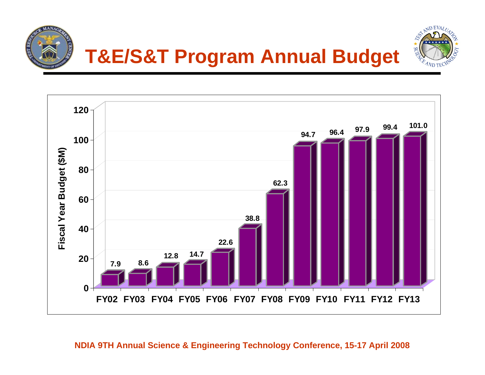



## **T&E/S&T Program Annual Budget**

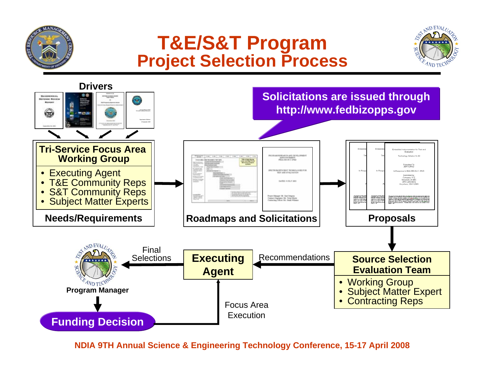### **T&E/S&T Program Project Selection Process**



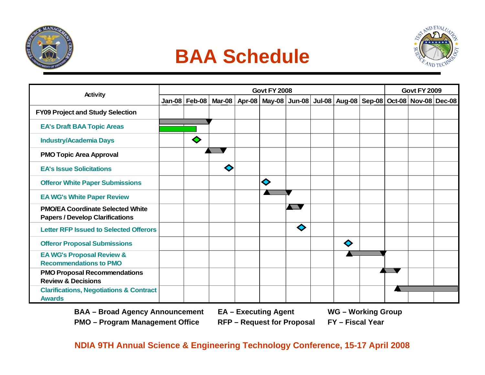





| <b>Activity</b>                                                                   | <b>Govt FY 2008</b> |                 |   |  |                                                                                                            |        |  | <b>Govt FY 2009</b> |  |  |  |  |
|-----------------------------------------------------------------------------------|---------------------|-----------------|---|--|------------------------------------------------------------------------------------------------------------|--------|--|---------------------|--|--|--|--|
|                                                                                   |                     | Jan-08   Feb-08 |   |  | _Ma <u>r-0</u> 8   Apr-08   May-08   Jun-08   Jul-08   Aug-08   Sep <u>-08   Oct</u> -08   Nov-08   Dec-08 |        |  |                     |  |  |  |  |
| <b>FY09 Project and Study Selection</b>                                           |                     |                 |   |  |                                                                                                            |        |  |                     |  |  |  |  |
| <b>EA's Draft BAA Topic Areas</b>                                                 |                     |                 |   |  |                                                                                                            |        |  |                     |  |  |  |  |
| <b>Industry/Academia Days</b>                                                     |                     |                 |   |  |                                                                                                            |        |  |                     |  |  |  |  |
| <b>PMO Topic Area Approval</b>                                                    |                     |                 |   |  |                                                                                                            |        |  |                     |  |  |  |  |
| <b>EA's Issue Solicitations</b>                                                   |                     |                 | ◇ |  |                                                                                                            |        |  |                     |  |  |  |  |
| <b>Offeror White Paper Submissions</b>                                            |                     |                 |   |  | ♦                                                                                                          |        |  |                     |  |  |  |  |
| <b>EA WG's White Paper Review</b>                                                 |                     |                 |   |  |                                                                                                            |        |  |                     |  |  |  |  |
| <b>PMO/EA Coordinate Selected White</b><br><b>Papers / Develop Clarifications</b> |                     |                 |   |  |                                                                                                            | e e se |  |                     |  |  |  |  |
| <b>Letter RFP Issued to Selected Offerors</b>                                     |                     |                 |   |  |                                                                                                            | ♦      |  |                     |  |  |  |  |
| <b>Offeror Proposal Submissions</b>                                               |                     |                 |   |  |                                                                                                            |        |  | ♦                   |  |  |  |  |
| <b>EA WG's Proposal Review &amp;</b><br><b>Recommendations to PMO</b>             |                     |                 |   |  |                                                                                                            |        |  |                     |  |  |  |  |
| <b>PMO Proposal Recommendations</b><br><b>Review &amp; Decisions</b>              |                     |                 |   |  |                                                                                                            |        |  |                     |  |  |  |  |
| <b>Clarifications, Negotiations &amp; Contract</b><br><b>Awards</b>               |                     |                 |   |  |                                                                                                            |        |  |                     |  |  |  |  |

**BAA – Broad Agency Announcement EA – Executing Agent WG – Working Group PMO – Program Management Office RFP – Request for Proposal FY – Fiscal Year**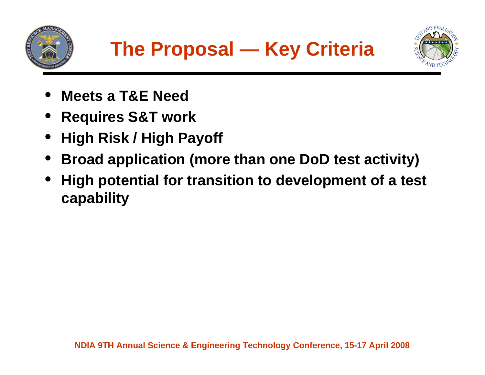



- •**Meets a T&E Need**
- •**Requires S&T work**
- •**High Risk / High Payoff**
- •**Broad application (more than one DoD test activity)**
- • **High potential for transition to development of a test capability**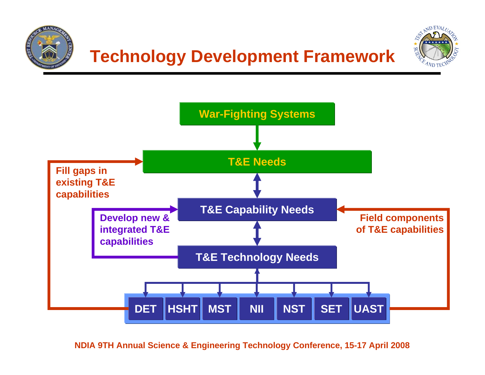

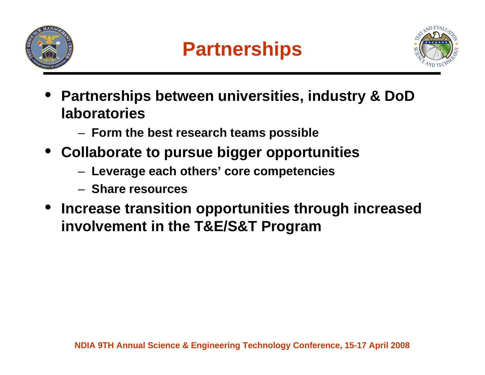



- • **Partnerships between universities, industry & DoD laboratories**
	- **Form the best research teams possible**
- **Collaborate to pursue bigger opportunities**
	- **Leverage each others' core competencies**
	- **Share resources**
- **Increase transition opportunities through increased involvement in the T&E/S&T Program**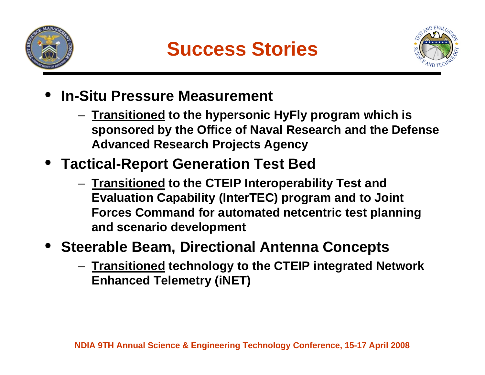



- • **In-Situ Pressure Measurement**
	- **Transitioned to the hypersonic HyFly program which is sponsored by the Office of Naval Research and the Defense Advanced Research Projects Agency**
- **Tactical-Report Generation Test Bed** 
	- **Transitioned to the CTEIP Interoperability Test and Evaluation Capability (InterTEC) program and to Joint Forces Command for automated netcentric test planning and scenario development**
- • **Steerable Beam, Directional Antenna Concepts**
	- **Transitioned technology to the CTEIP integrated Network Enhanced Telemetry (iNET)**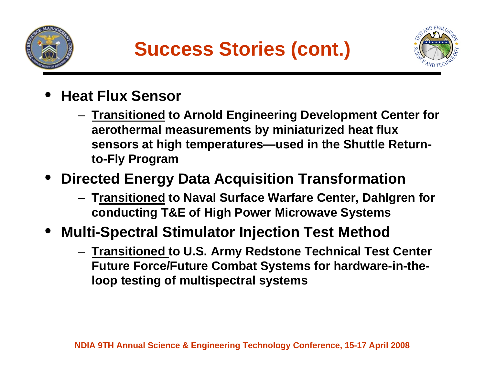



- • **Heat Flux Sensor**
	- **Transitioned to Arnold Engineering Development Center for aerothermal measurements by miniaturized heat flux sensors at high temperatures—used in the Shuttle Returnto-Fly Program**
- **Directed Energy Data Acquisition Transformation**
	- **Transitioned to Naval Surface Warfare Center, Dahlgren for conducting T&E of High Power Microwave Systems**
- • **Multi-Spectral Stimulator Injection Test Method** 
	- **Transitioned to U.S. Army Redstone Technical Test Center Future Force/Future Combat Systems for hardware-in-theloop testing of multispectral systems**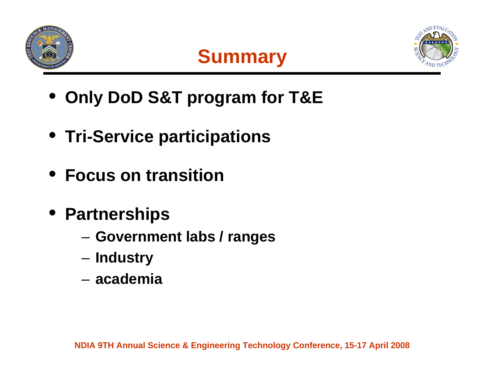





- **Only DoD S&T program for T&E**
- **Tri-Service participations**
- **Focus on transition**
- **Partnerships**
	- –**Government labs / ranges**
	- –**Industry**
	- **academia**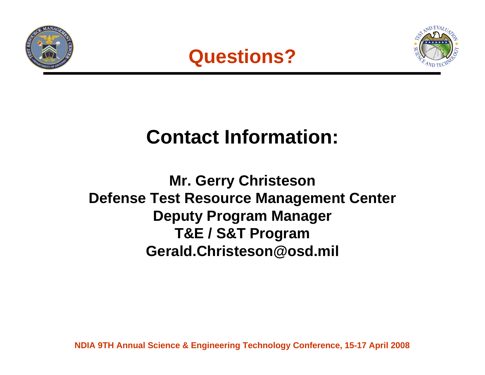





## **Contact Information:**

### **Mr. Gerry Christeson Defense Test Resource Management Center Deputy Program Manager T&E / S&T Program Gerald.Christeson@osd.mil**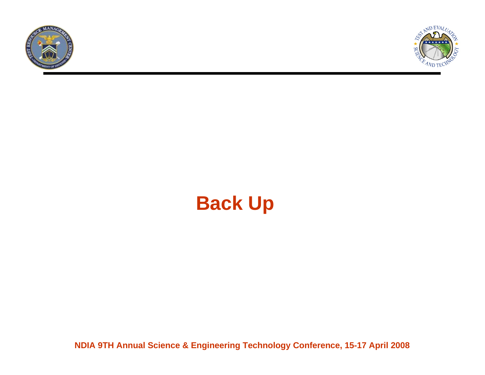



## **Back Up**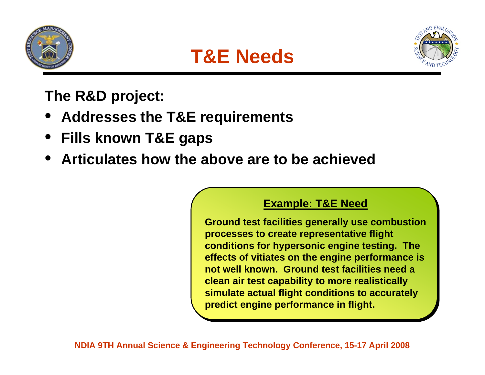





**The R&D project:** 

- **Addresses the T&E requirements**
- •**Fills known T&E gaps**
- •**Articulates how the above are to be achieved**

### **Example: T&E Need Example: T&E Need**

**Ground test facilities generally use combustion Ground test facilities generally use combustion processes to create representative flight processes to create representative flight conditions for hypersonic engine testing. The conditions for hypersonic engine testing. The effects of vitiates on the engine performance is effects of vitiates on the engine performance is not well known. Ground test facilities need a not well known. Ground test facilities need a clean air test capability to more realistically clean air test capability to more realistically simulate actual flight conditions to accurately simulate actual flight conditions to accurately predict engine performance in flight. predict engine performance in flight.**